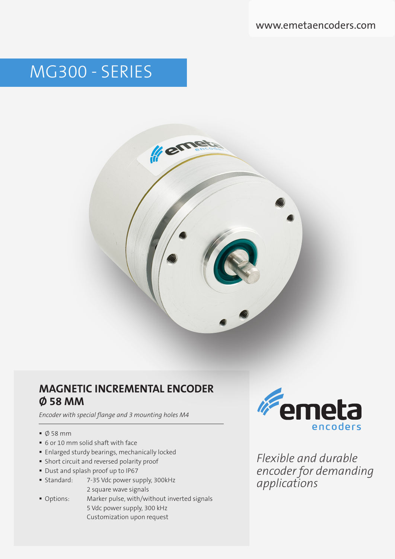# MG300 - SERIES



## **MAGNETIC INCREMENTAL ENCODER Ø 58 MM**

*Encoder with special flange and 3 mounting holes M4* 

- $\bullet$  Ø 58 mm
- 6 or 10 mm solid shaft with face
- **Enlarged sturdy bearings, mechanically locked**
- Short circuit and reversed polarity proof
- Dust and splash proof up to IP67
- Standard: 7-35 Vdc power supply, 300kHz 2 square wave signals
- Options: Marker pulse, with/without inverted signals 5 Vdc power supply, 300 kHz Customization upon request



*Flexible and durable encoder for demanding applications*